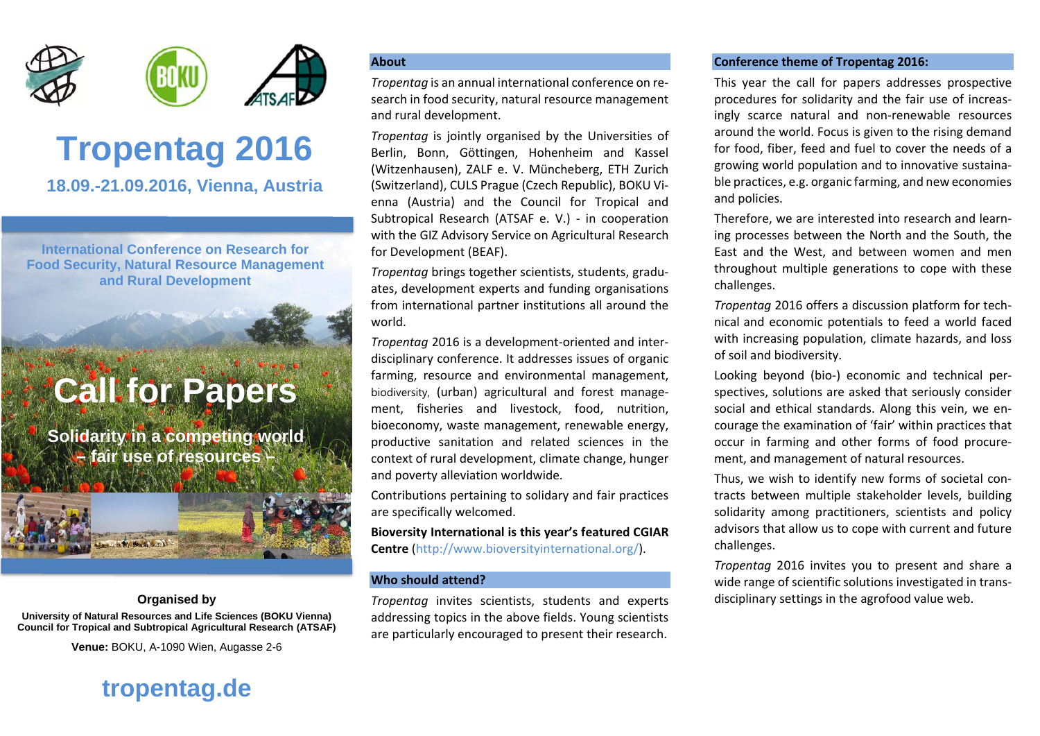

# **Tropentag 2016**

**18.09.-21.09.2016, Vienna, Austria** 

**International Conference on Research for Food Security, Natural Resource Management and Rural Development**

## **Call for Papers**

**Solidarity in a competing world – fair use of resources –**

#### **Organised by**

**University of Natural Resources and Life Sciences (BOKU Vienna) Council for Tropical and Subtropical Agricultural Research (ATSAF)**

**Venue:** BOKU, A-1090 Wien, Augasse 2-6

#### **About**

*Tropentag* is an annual international conference on re‐ search in food security, natural resource management and rural development.

*Tropentag* is jointly organised by the Universities of Berlin, Bonn, Göttingen, Hohenheim and Kassel (Witzenhausen), ZALF e. V. Müncheberg, ETH Zurich (Switzerland), CULS Prague (Czech Republic), BOKU Vi‐ enna (Austria) and the Council for Tropical and Subtropical Research (ATSAF e. V.) ‐ in cooperation with the GIZ Advisory Service on Agricultural Research for Development (BEAF).

*Tropentag* brings together scientists, students, gradu‐ ates, development experts and funding organisations from international partner institutions all around the world.

*Tropentag* 2016 is <sup>a</sup> development‐oriented and inter‐ disciplinary conference. It addresses issues of organic farming, resource and environmental management, biodiversity, (urban) agricultural and forest manage‐ ment, fisheries and livestock, food, nutrition, bioeconomy, waste management, renewable energy, productive sanitation and related sciences in the context of rural development, climate change, hunger and poverty alleviation worldwide.

Contributions pertaining to solidary and fair practices are specifically welcomed.

**Bioversity International is this year's featured CGIAR Centre** (http://www.bioversityinternational.org/).

#### **Who should attend?**

*Tropentag* invites scientists, students and experts addressing topics in the above fields. Young scientists are particularly encouraged to present their research.

#### **Conference theme of Tropentag 2016:**

This year the call for papers addresses prospective procedures for solidarity and the fair use of increas‐ ingly scarce natural and non‐renewable resources around the world. Focus is given to the rising demand for food, fiber, feed and fuel to cover the needs of <sup>a</sup> growing world population and to innovative sustaina‐ ble practices, e.g. organic farming, and new economies and policies.

Therefore, we are interested into research and learn‐ ing processes between the North and the South, the East and the West, and between women and men throughout multiple generations to cope with these challenges.

*Tropentag* 2016 offers <sup>a</sup> discussion platform for tech‐ nical and economic potentials to feed <sup>a</sup> world faced with increasing population, climate hazards, and loss of soil and biodiversity.

Looking beyond (bio‐) economic and technical per‐ spectives, solutions are asked that seriously consider social and ethical standards. Along this vein, we en‐ courage the examination of 'fair' within practices that occur in farming and other forms of food procure‐ ment, and management of natural resources.

Thus, we wish to identify new forms of societal con‐ tracts between multiple stakeholder levels, building solidarity among practitioners, scientists and policy advisors that allow us to cope with current and future challenges.

*Tropentag* 2016 invites you to present and share <sup>a</sup> wide range of scientific solutions investigated in trans‐ disciplinary settings in the agrofood value web.

### **tropentag.de**